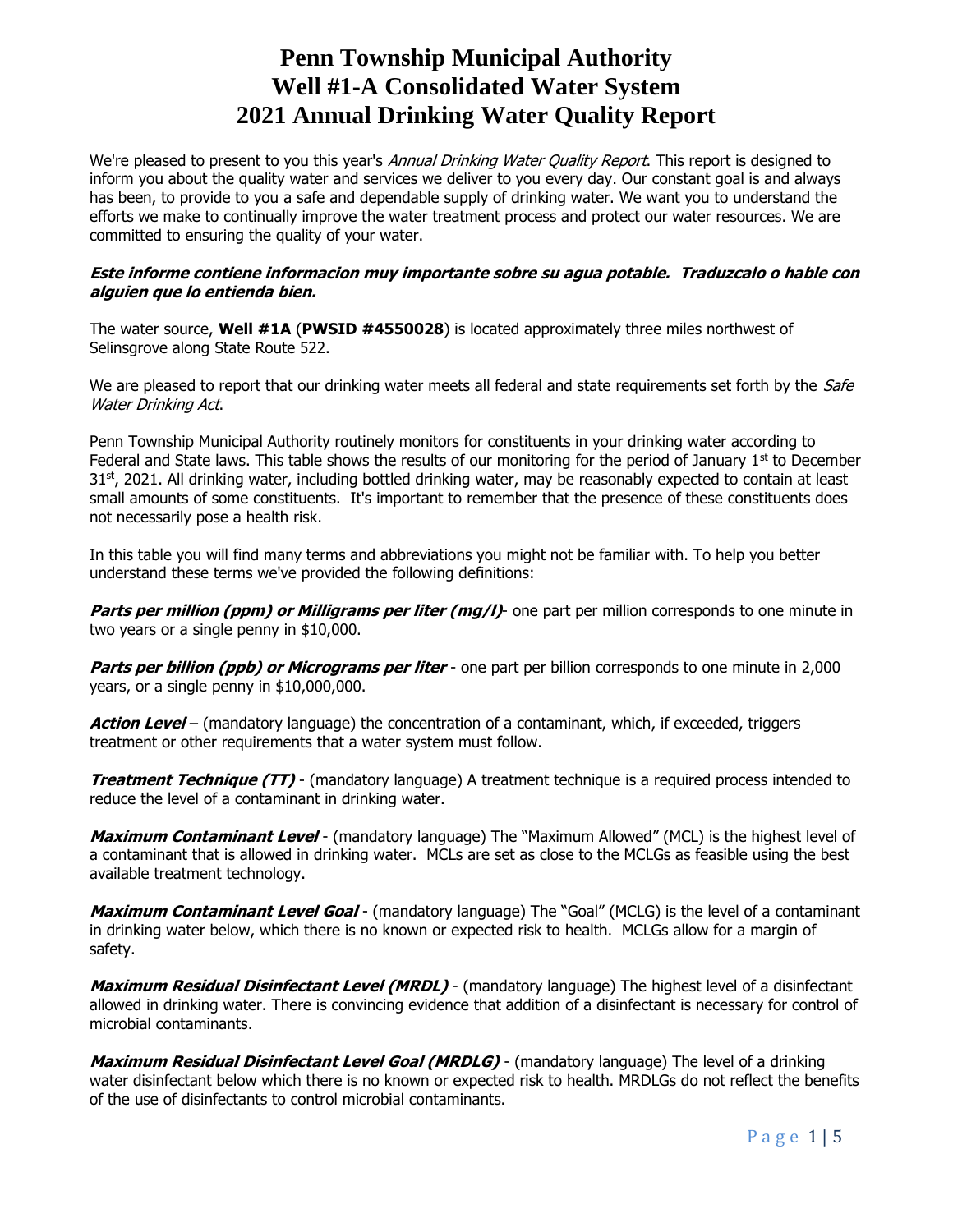# **Penn Township Municipal Authority Well #1-A Consolidated Water System 2021 Annual Drinking Water Quality Report**

We're pleased to present to you this year's *Annual Drinking Water Quality Report*. This report is designed to inform you about the quality water and services we deliver to you every day. Our constant goal is and always has been, to provide to you a safe and dependable supply of drinking water. We want you to understand the efforts we make to continually improve the water treatment process and protect our water resources. We are committed to ensuring the quality of your water.

## **Este informe contiene informacion muy importante sobre su agua potable. Traduzcalo o hable con alguien que lo entienda bien.**

The water source, **Well #1A** (**PWSID #4550028**) is located approximately three miles northwest of Selinsgrove along State Route 522.

We are pleased to report that our drinking water meets all federal and state requirements set forth by the Safe Water Drinking Act.

Penn Township Municipal Authority routinely monitors for constituents in your drinking water according to Federal and State laws. This table shows the results of our monitoring for the period of January  $1<sup>st</sup>$  to December 31<sup>st</sup>, 2021. All drinking water, including bottled drinking water, may be reasonably expected to contain at least small amounts of some constituents. It's important to remember that the presence of these constituents does not necessarily pose a health risk.

In this table you will find many terms and abbreviations you might not be familiar with. To help you better understand these terms we've provided the following definitions:

**Parts per million (ppm) or Milligrams per liter (mg/l)**- one part per million corresponds to one minute in two years or a single penny in \$10,000.

**Parts per billion (ppb) or Micrograms per liter** - one part per billion corresponds to one minute in 2,000 years, or a single penny in \$10,000,000.

**Action Level** – (mandatory language) the concentration of a contaminant, which, if exceeded, triggers treatment or other requirements that a water system must follow.

**Treatment Technique (TT)** - (mandatory language) A treatment technique is a required process intended to reduce the level of a contaminant in drinking water.

**Maximum Contaminant Level** - (mandatory language) The "Maximum Allowed" (MCL) is the highest level of a contaminant that is allowed in drinking water. MCLs are set as close to the MCLGs as feasible using the best available treatment technology.

**Maximum Contaminant Level Goal** - (mandatory language) The "Goal" (MCLG) is the level of a contaminant in drinking water below, which there is no known or expected risk to health. MCLGs allow for a margin of safety.

**Maximum Residual Disinfectant Level (MRDL)** - (mandatory language) The highest level of a disinfectant allowed in drinking water. There is convincing evidence that addition of a disinfectant is necessary for control of microbial contaminants.

**Maximum Residual Disinfectant Level Goal (MRDLG)** - (mandatory language) The level of a drinking water disinfectant below which there is no known or expected risk to health. MRDLGs do not reflect the benefits of the use of disinfectants to control microbial contaminants.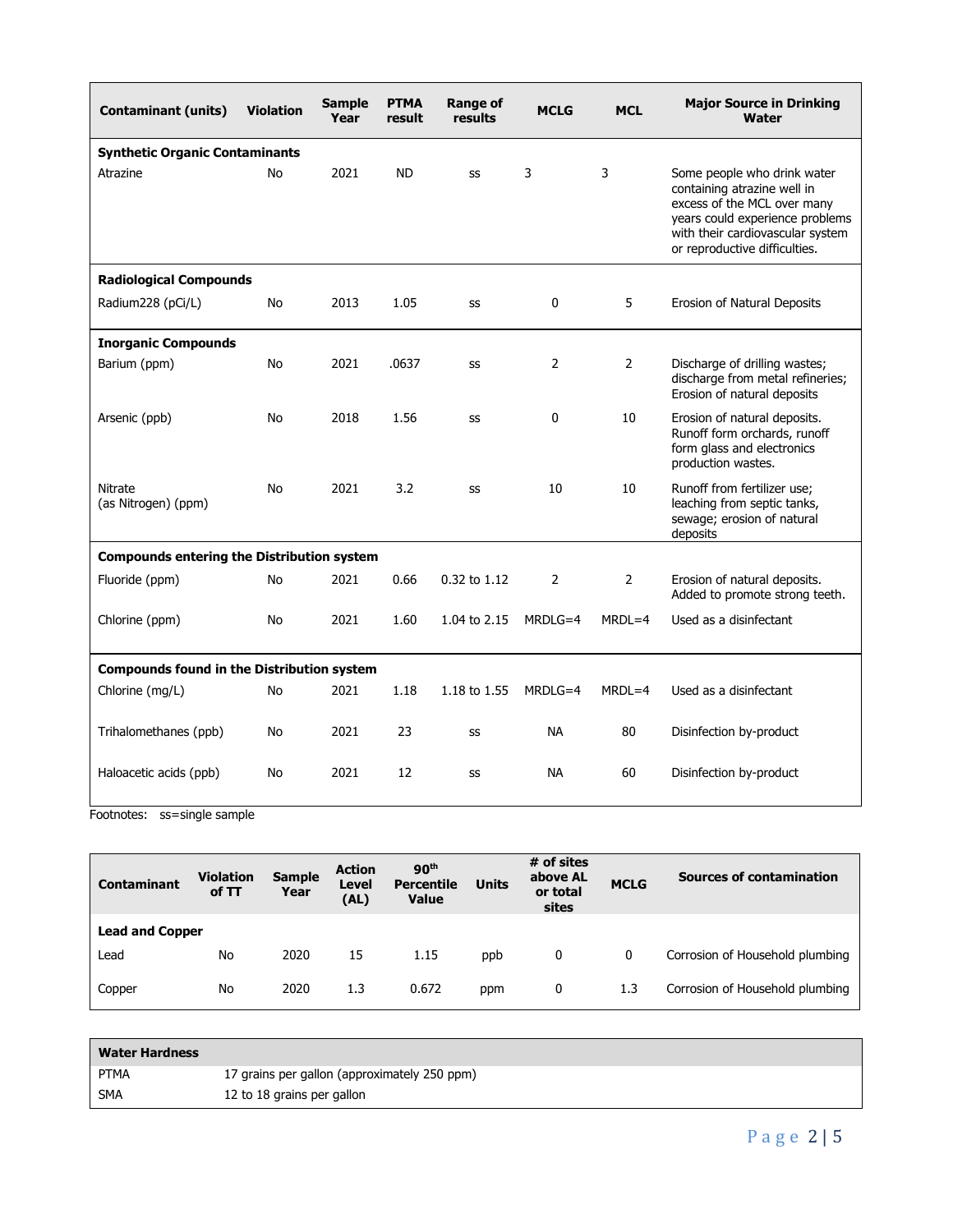| <b>Contaminant (units)</b>                        | <b>Violation</b> | <b>Sample</b><br>Year | <b>PTMA</b><br>result | <b>Range of</b><br>results | <b>MCLG</b>    | <b>MCL</b>     | <b>Major Source in Drinking</b><br><b>Water</b>                                                                                                                                                   |  |  |
|---------------------------------------------------|------------------|-----------------------|-----------------------|----------------------------|----------------|----------------|---------------------------------------------------------------------------------------------------------------------------------------------------------------------------------------------------|--|--|
| <b>Synthetic Organic Contaminants</b>             |                  |                       |                       |                            |                |                |                                                                                                                                                                                                   |  |  |
| Atrazine                                          | No               | 2021                  | <b>ND</b>             | SS                         | 3              | 3              | Some people who drink water<br>containing atrazine well in<br>excess of the MCL over many<br>years could experience problems<br>with their cardiovascular system<br>or reproductive difficulties. |  |  |
| <b>Radiological Compounds</b>                     |                  |                       |                       |                            |                |                |                                                                                                                                                                                                   |  |  |
| Radium228 (pCi/L)                                 | No               | 2013                  | 1.05                  | SS                         | 0              | 5              | Erosion of Natural Deposits                                                                                                                                                                       |  |  |
| <b>Inorganic Compounds</b>                        |                  |                       |                       |                            |                |                |                                                                                                                                                                                                   |  |  |
| Barium (ppm)                                      | No               | 2021                  | .0637                 | SS                         | $\overline{2}$ | $\overline{2}$ | Discharge of drilling wastes;<br>discharge from metal refineries;<br>Erosion of natural deposits                                                                                                  |  |  |
| Arsenic (ppb)                                     | No               | 2018                  | 1.56                  | SS                         | $\Omega$       | 10             | Erosion of natural deposits.<br>Runoff form orchards, runoff<br>form glass and electronics<br>production wastes.                                                                                  |  |  |
| Nitrate<br>(as Nitrogen) (ppm)                    | No               | 2021                  | 3.2                   | SS                         | 10             | 10             | Runoff from fertilizer use;<br>leaching from septic tanks,<br>sewage; erosion of natural<br>deposits                                                                                              |  |  |
| <b>Compounds entering the Distribution system</b> |                  |                       |                       |                            |                |                |                                                                                                                                                                                                   |  |  |
| Fluoride (ppm)                                    | No               | 2021                  | 0.66                  | $0.32$ to $1.12$           | $\overline{2}$ | $\overline{2}$ | Erosion of natural deposits.<br>Added to promote strong teeth.                                                                                                                                    |  |  |
| Chlorine (ppm)                                    | No               | 2021                  | 1.60                  | 1.04 to 2.15               | $MRDLG=4$      | $MRDL=4$       | Used as a disinfectant                                                                                                                                                                            |  |  |
| <b>Compounds found in the Distribution system</b> |                  |                       |                       |                            |                |                |                                                                                                                                                                                                   |  |  |
| Chlorine (mg/L)                                   | No               | 2021                  | 1.18                  | 1.18 to 1.55               | MRDLG=4        | $MRDL=4$       | Used as a disinfectant                                                                                                                                                                            |  |  |
| Trihalomethanes (ppb)                             | No               | 2021                  | 23                    | SS                         | <b>NA</b>      | 80             | Disinfection by-product                                                                                                                                                                           |  |  |
| Haloacetic acids (ppb)                            | No               | 2021                  | 12                    | SS                         | NA.            | 60             | Disinfection by-product                                                                                                                                                                           |  |  |

Footnotes: ss=single sample

| <b>Contaminant</b>     | <b>Violation</b><br>of TT | <b>Sample</b><br>Year | <b>Action</b><br>Level<br>(AL) | 90 <sup>th</sup><br><b>Percentile</b><br><b>Value</b> | <b>Units</b> | # of sites<br>above AL<br>or total<br>sites | <b>MCLG</b> | <b>Sources of contamination</b> |  |
|------------------------|---------------------------|-----------------------|--------------------------------|-------------------------------------------------------|--------------|---------------------------------------------|-------------|---------------------------------|--|
| <b>Lead and Copper</b> |                           |                       |                                |                                                       |              |                                             |             |                                 |  |
| Lead                   | No                        | 2020                  | 15                             | 1.15                                                  | ppb          | 0                                           | 0           | Corrosion of Household plumbing |  |
| Copper                 | No                        | 2020                  | 1.3                            | 0.672                                                 | ppm          | 0                                           | 1.3         | Corrosion of Household plumbing |  |

| <b>Water Hardness</b> |                                              |
|-----------------------|----------------------------------------------|
| PTMA                  | 17 grains per gallon (approximately 250 ppm) |
| SMA                   | 12 to 18 grains per gallon                   |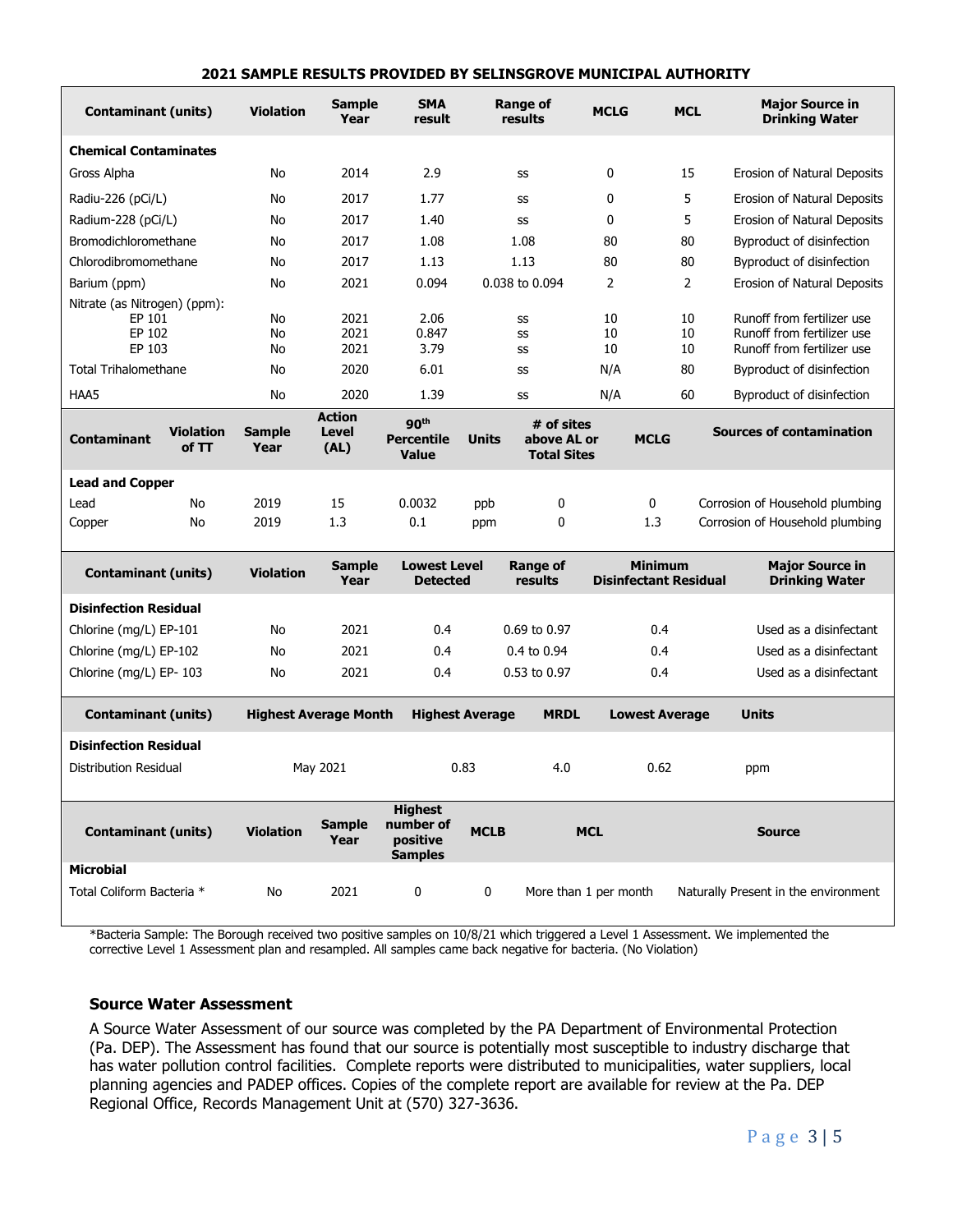#### **2021 SAMPLE RESULTS PROVIDED BY SELINSGROVE MUNICIPAL AUTHORITY**

| <b>Contaminant (units)</b>                                 |                                                            | <b>Violation</b>                      | <b>Sample</b><br>Year          | <b>SMA</b><br>result                                      | <b>Range of</b><br>results                                      |              | <b>MCLG</b>                                    | <b>MCL</b>     | <b>Major Source in</b><br><b>Drinking Water</b>                                        |
|------------------------------------------------------------|------------------------------------------------------------|---------------------------------------|--------------------------------|-----------------------------------------------------------|-----------------------------------------------------------------|--------------|------------------------------------------------|----------------|----------------------------------------------------------------------------------------|
| <b>Chemical Contaminates</b>                               |                                                            |                                       |                                |                                                           |                                                                 |              |                                                |                |                                                                                        |
| Gross Alpha                                                |                                                            | No                                    | 2014                           | 2.9                                                       | SS                                                              |              | 0                                              | 15             | Erosion of Natural Deposits                                                            |
|                                                            | Radiu-226 (pCi/L)<br>No                                    |                                       | 2017                           | 1.77                                                      | SS                                                              |              | 0                                              | 5              | Erosion of Natural Deposits                                                            |
| Radium-228 (pCi/L)                                         |                                                            | No                                    | 2017                           | 1.40                                                      | SS                                                              |              | 0                                              | 5              | Erosion of Natural Deposits                                                            |
| Bromodichloromethane                                       |                                                            | No                                    | 2017                           | 1.08                                                      |                                                                 | 1.08         | 80                                             | 80             | Byproduct of disinfection                                                              |
| Chlorodibromomethane                                       |                                                            | No                                    | 2017                           | 1.13                                                      | 1.13                                                            |              | 80                                             | 80             | Byproduct of disinfection                                                              |
| Barium (ppm)                                               |                                                            |                                       | 2021                           | 0.094                                                     | 0.038 to 0.094                                                  |              | 2                                              | $\overline{2}$ | Erosion of Natural Deposits                                                            |
|                                                            | Nitrate (as Nitrogen) (ppm):<br>EP 101<br>EP 102<br>EP 103 |                                       | 2021<br>2021<br>2021           | 2.06<br>0.847<br>3.79                                     | SS<br>SS<br>SS                                                  |              | 10<br>10<br>10                                 | 10<br>10<br>10 | Runoff from fertilizer use<br>Runoff from fertilizer use<br>Runoff from fertilizer use |
| <b>Total Trihalomethane</b>                                |                                                            | No                                    | 2020                           | 6.01                                                      | SS                                                              |              | N/A                                            | 80             | Byproduct of disinfection                                                              |
| HAA5                                                       |                                                            | No                                    | 2020                           | 1.39                                                      | SS                                                              |              | N/A                                            | 60             | Byproduct of disinfection                                                              |
| <b>Contaminant</b>                                         | <b>Violation</b><br>of TT                                  | <b>Sample</b><br>Year                 | <b>Action</b><br>Level<br>(AL) | 90 <sup>th</sup><br><b>Percentile</b><br><b>Value</b>     | # of sites<br><b>Units</b><br>above AL or<br><b>Total Sites</b> |              | <b>MCLG</b>                                    |                | <b>Sources of contamination</b>                                                        |
| <b>Lead and Copper</b>                                     |                                                            |                                       |                                |                                                           |                                                                 |              |                                                |                |                                                                                        |
| Lead                                                       | No                                                         | 2019                                  | 15                             | 0.0032                                                    | ppb                                                             | 0            |                                                | 0              | Corrosion of Household plumbing                                                        |
| Copper                                                     | No                                                         | 2019                                  | 1.3                            | 0.1                                                       | ppm                                                             | 0            |                                                | 1.3            | Corrosion of Household plumbing                                                        |
| <b>Contaminant (units)</b>                                 |                                                            | <b>Violation</b>                      | <b>Sample</b><br>Year          | <b>Lowest Level</b><br><b>Detected</b>                    | <b>Range of</b><br>results                                      |              | <b>Minimum</b><br><b>Disinfectant Residual</b> |                | <b>Major Source in</b><br><b>Drinking Water</b>                                        |
| <b>Disinfection Residual</b>                               |                                                            |                                       |                                |                                                           |                                                                 |              |                                                |                |                                                                                        |
| Chlorine (mg/L) EP-101                                     |                                                            | No                                    | 2021                           | 0.4                                                       |                                                                 | 0.69 to 0.97 | 0.4                                            |                | Used as a disinfectant                                                                 |
| Chlorine (mg/L) EP-102                                     |                                                            | No                                    | 2021                           | 0.4                                                       | 0.4 to 0.94                                                     |              | 0.4                                            |                | Used as a disinfectant                                                                 |
| Chlorine (mg/L) EP-103                                     |                                                            | No                                    | 2021                           | 0.4                                                       | 0.53 to 0.97                                                    |              | 0.4                                            |                | Used as a disinfectant                                                                 |
| <b>Contaminant (units)</b><br><b>Highest Average Month</b> |                                                            | <b>Highest Average</b><br><b>MRDL</b> |                                | <b>Lowest Average</b>                                     |                                                                 | <b>Units</b> |                                                |                |                                                                                        |
| <b>Disinfection Residual</b>                               |                                                            |                                       |                                |                                                           |                                                                 |              |                                                |                |                                                                                        |
| Distribution Residual                                      |                                                            |                                       | May 2021                       |                                                           | 0.83<br>4.0                                                     |              | 0.62                                           |                | ppm                                                                                    |
| <b>Contaminant (units)</b>                                 |                                                            | <b>Violation</b>                      | <b>Sample</b><br>Year          | <b>Highest</b><br>number of<br>positive<br><b>Samples</b> | <b>MCLB</b>                                                     |              | <b>MCL</b>                                     |                | <b>Source</b>                                                                          |
| <b>Microbial</b>                                           |                                                            |                                       |                                |                                                           |                                                                 |              |                                                |                |                                                                                        |
| Total Coliform Bacteria *                                  |                                                            | No                                    | 2021                           | 0                                                         | $\mathbf 0$                                                     |              | More than 1 per month                          |                | Naturally Present in the environment                                                   |

\*Bacteria Sample: The Borough received two positive samples on 10/8/21 which triggered a Level 1 Assessment. We implemented the corrective Level 1 Assessment plan and resampled. All samples came back negative for bacteria. (No Violation)

#### **Source Water Assessment**

A Source Water Assessment of our source was completed by the PA Department of Environmental Protection (Pa. DEP). The Assessment has found that our source is potentially most susceptible to industry discharge that has water pollution control facilities. Complete reports were distributed to municipalities, water suppliers, local planning agencies and PADEP offices. Copies of the complete report are available for review at the Pa. DEP Regional Office, Records Management Unit at (570) 327-3636.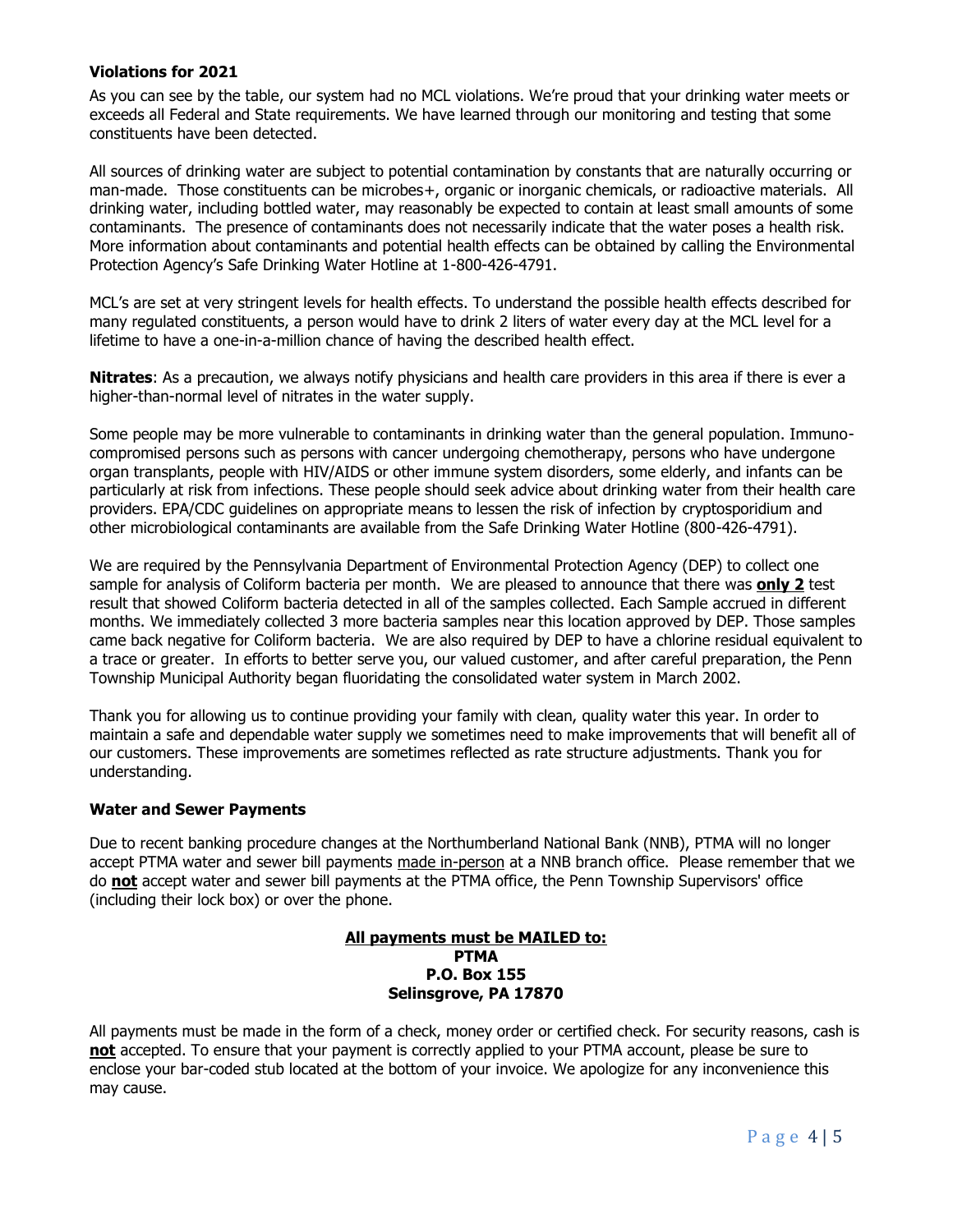### **Violations for 2021**

As you can see by the table, our system had no MCL violations. We're proud that your drinking water meets or exceeds all Federal and State requirements. We have learned through our monitoring and testing that some constituents have been detected.

All sources of drinking water are subject to potential contamination by constants that are naturally occurring or man-made. Those constituents can be microbes+, organic or inorganic chemicals, or radioactive materials. All drinking water, including bottled water, may reasonably be expected to contain at least small amounts of some contaminants. The presence of contaminants does not necessarily indicate that the water poses a health risk. More information about contaminants and potential health effects can be obtained by calling the Environmental Protection Agency's Safe Drinking Water Hotline at 1-800-426-4791.

MCL's are set at very stringent levels for health effects. To understand the possible health effects described for many regulated constituents, a person would have to drink 2 liters of water every day at the MCL level for a lifetime to have a one-in-a-million chance of having the described health effect.

**Nitrates**: As a precaution, we always notify physicians and health care providers in this area if there is ever a higher-than-normal level of nitrates in the water supply.

Some people may be more vulnerable to contaminants in drinking water than the general population. Immunocompromised persons such as persons with cancer undergoing chemotherapy, persons who have undergone organ transplants, people with HIV/AIDS or other immune system disorders, some elderly, and infants can be particularly at risk from infections. These people should seek advice about drinking water from their health care providers. EPA/CDC guidelines on appropriate means to lessen the risk of infection by cryptosporidium and other microbiological contaminants are available from the Safe Drinking Water Hotline (800-426-4791).

We are required by the Pennsylvania Department of Environmental Protection Agency (DEP) to collect one sample for analysis of Coliform bacteria per month. We are pleased to announce that there was **only 2** test result that showed Coliform bacteria detected in all of the samples collected. Each Sample accrued in different months. We immediately collected 3 more bacteria samples near this location approved by DEP. Those samples came back negative for Coliform bacteria. We are also required by DEP to have a chlorine residual equivalent to a trace or greater. In efforts to better serve you, our valued customer, and after careful preparation, the Penn Township Municipal Authority began fluoridating the consolidated water system in March 2002.

Thank you for allowing us to continue providing your family with clean, quality water this year. In order to maintain a safe and dependable water supply we sometimes need to make improvements that will benefit all of our customers. These improvements are sometimes reflected as rate structure adjustments. Thank you for understanding.

#### **Water and Sewer Payments**

Due to recent banking procedure changes at the Northumberland National Bank (NNB), PTMA will no longer accept PTMA water and sewer bill payments made in-person at a NNB branch office. Please remember that we do **not** accept water and sewer bill payments at the PTMA office, the Penn Township Supervisors' office (including their lock box) or over the phone.

#### **All payments must be MAILED to: PTMA P.O. Box 155 Selinsgrove, PA 17870**

All payments must be made in the form of a check, money order or certified check. For security reasons, cash is **not** accepted. To ensure that your payment is correctly applied to your PTMA account, please be sure to enclose your bar-coded stub located at the bottom of your invoice. We apologize for any inconvenience this may cause.